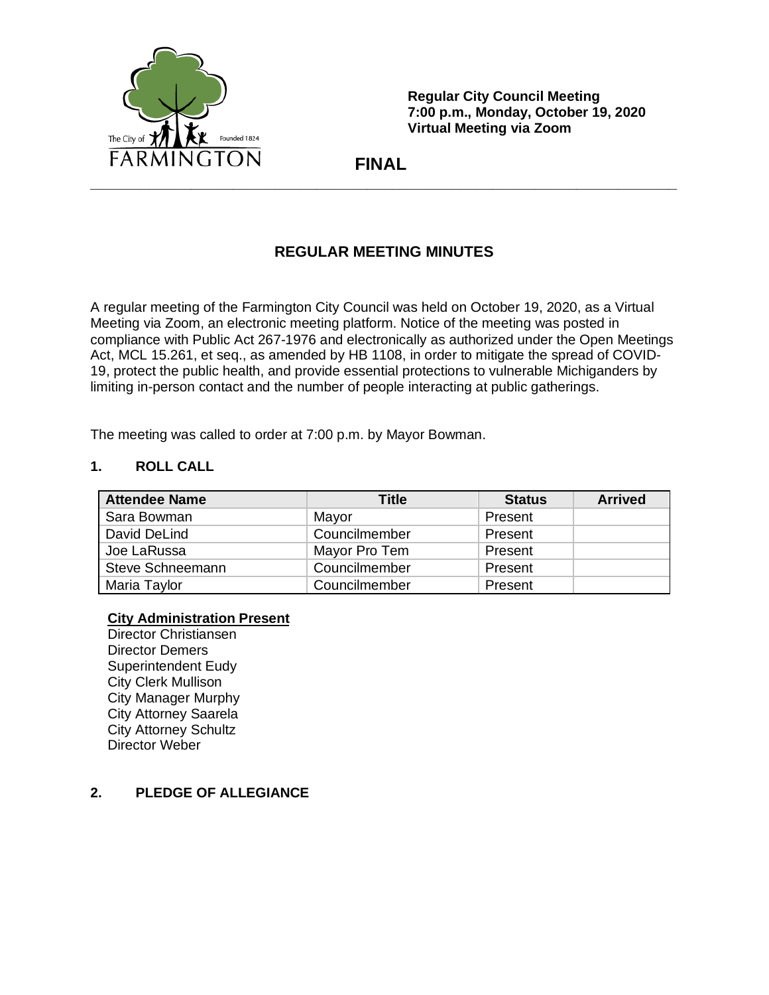

**Regular City Council Meeting 7:00 p.m., Monday, October 19, 2020 Virtual Meeting via Zoom**

 **FINAL**

# **REGULAR MEETING MINUTES**

A regular meeting of the Farmington City Council was held on October 19, 2020, as a Virtual Meeting via Zoom, an electronic meeting platform. Notice of the meeting was posted in compliance with Public Act 267-1976 and electronically as authorized under the Open Meetings Act, MCL 15.261, et seq., as amended by HB 1108, in order to mitigate the spread of COVID-19, protect the public health, and provide essential protections to vulnerable Michiganders by limiting in-person contact and the number of people interacting at public gatherings.

The meeting was called to order at 7:00 p.m. by Mayor Bowman.

## **1. ROLL CALL**

| <b>Attendee Name</b>    | Title         | <b>Status</b> | <b>Arrived</b> |
|-------------------------|---------------|---------------|----------------|
| Sara Bowman             | Mayor         | Present       |                |
| David DeLind            | Councilmember | Present       |                |
| Joe LaRussa             | Mayor Pro Tem | Present       |                |
| <b>Steve Schneemann</b> | Councilmember | Present       |                |
| Maria Taylor            | Councilmember | Present       |                |

#### **City Administration Present**

Director Christiansen Director Demers Superintendent Eudy City Clerk Mullison City Manager Murphy City Attorney Saarela City Attorney Schultz Director Weber

## **2. PLEDGE OF ALLEGIANCE**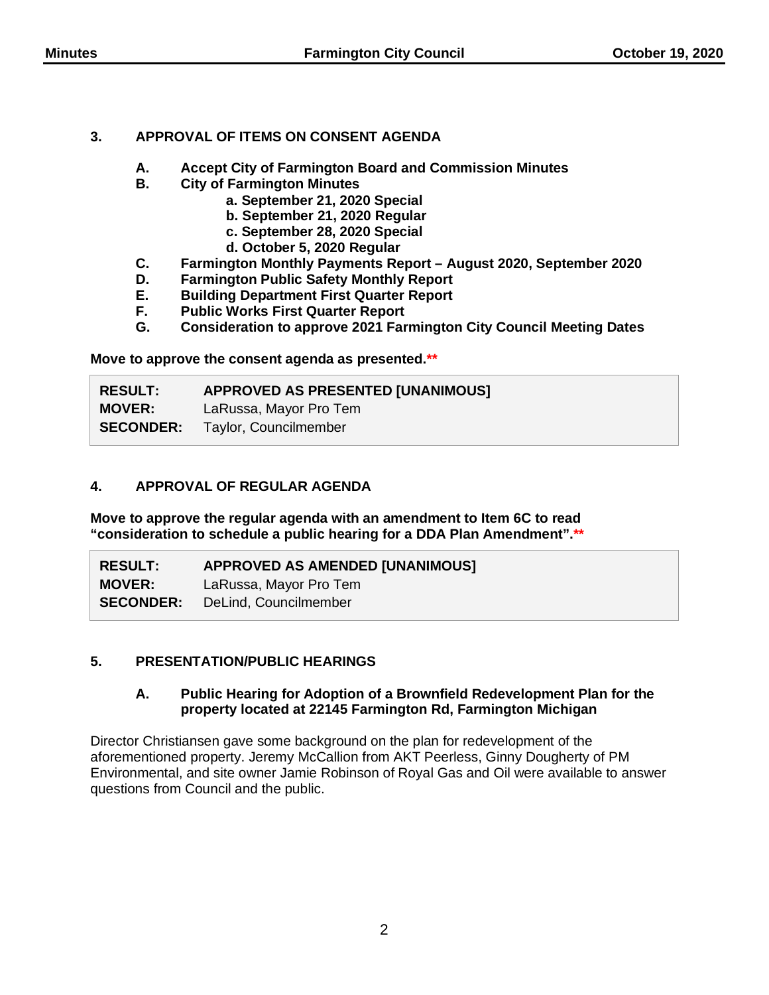## **3. APPROVAL OF ITEMS ON CONSENT AGENDA**

- **A. Accept City of Farmington Board and Commission Minutes**
- **B. City of Farmington Minutes**
	- **a. September 21, 2020 Special**
	- **b. September 21, 2020 Regular**
	- **c. September 28, 2020 Special**
	- **d. October 5, 2020 Regular**
- **C. Farmington Monthly Payments Report – August 2020, September 2020**
- **D. Farmington Public Safety Monthly Report**
- **E. Building Department First Quarter Report**
- **F. Public Works First Quarter Report**
- **G. Consideration to approve 2021 Farmington City Council Meeting Dates**

**Move to approve the consent agenda as presented.\*\***

| <b>RESULT:</b> | <b>APPROVED AS PRESENTED [UNANIMOUS]</b> |
|----------------|------------------------------------------|
| <b>MOVER:</b>  | LaRussa, Mayor Pro Tem                   |
|                | <b>SECONDER:</b> Taylor, Councilmember   |

## **4. APPROVAL OF REGULAR AGENDA**

**Move to approve the regular agenda with an amendment to Item 6C to read "consideration to schedule a public hearing for a DDA Plan Amendment".\*\***

| <b>RESULT:</b>   | <b>APPROVED AS AMENDED [UNANIMOUS]</b> |
|------------------|----------------------------------------|
| <b>MOVER:</b>    | LaRussa, Mayor Pro Tem                 |
| <b>SECONDER:</b> | DeLind, Councilmember                  |

## **5. PRESENTATION/PUBLIC HEARINGS**

#### **A. Public Hearing for Adoption of a Brownfield Redevelopment Plan for the property located at 22145 Farmington Rd, Farmington Michigan**

Director Christiansen gave some background on the plan for redevelopment of the aforementioned property. Jeremy McCallion from AKT Peerless, Ginny Dougherty of PM Environmental, and site owner Jamie Robinson of Royal Gas and Oil were available to answer questions from Council and the public.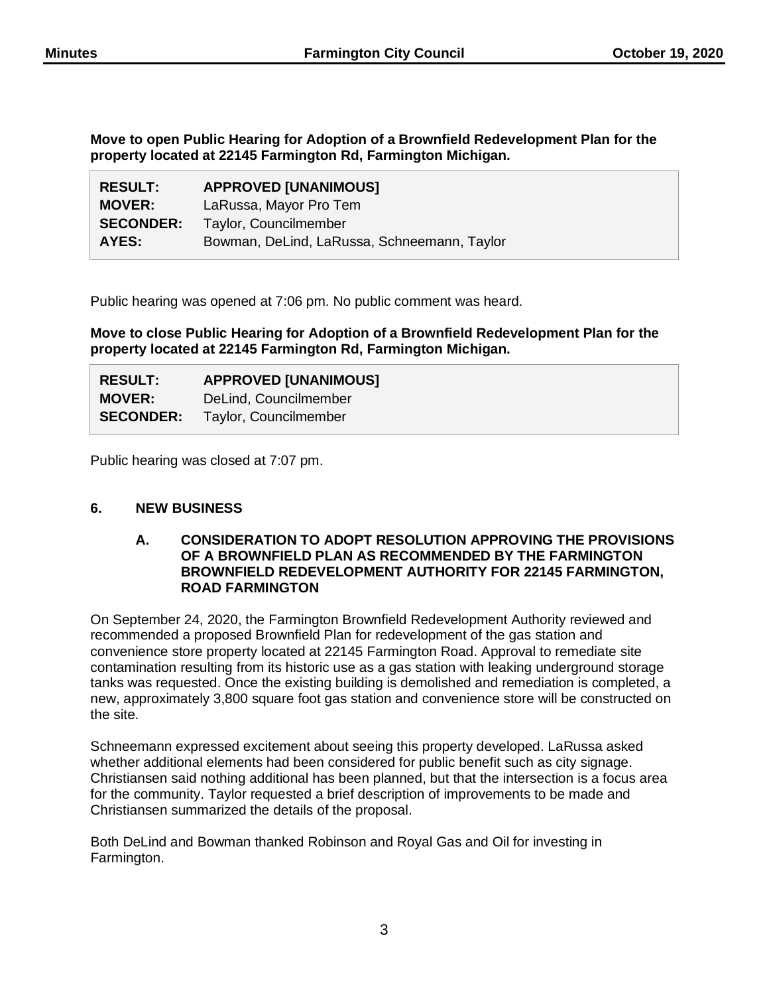**Move to open Public Hearing for Adoption of a Brownfield Redevelopment Plan for the property located at 22145 Farmington Rd, Farmington Michigan.**

| <b>RESULT:</b>   | <b>APPROVED [UNANIMOUS]</b>                 |
|------------------|---------------------------------------------|
| <b>MOVER:</b>    | LaRussa, Mayor Pro Tem                      |
| <b>SECONDER:</b> | Taylor, Councilmember                       |
| AYES:            | Bowman, DeLind, LaRussa, Schneemann, Taylor |

Public hearing was opened at 7:06 pm. No public comment was heard.

**Move to close Public Hearing for Adoption of a Brownfield Redevelopment Plan for the property located at 22145 Farmington Rd, Farmington Michigan.**

| <b>RESULT:</b>   | <b>APPROVED [UNANIMOUS]</b> |
|------------------|-----------------------------|
| <b>MOVER:</b>    | DeLind, Councilmember       |
| <b>SECONDER:</b> | Taylor, Councilmember       |

Public hearing was closed at 7:07 pm.

## **6. NEW BUSINESS**

#### **A. CONSIDERATION TO ADOPT RESOLUTION APPROVING THE PROVISIONS OF A BROWNFIELD PLAN AS RECOMMENDED BY THE FARMINGTON BROWNFIELD REDEVELOPMENT AUTHORITY FOR 22145 FARMINGTON, ROAD FARMINGTON**

On September 24, 2020, the Farmington Brownfield Redevelopment Authority reviewed and recommended a proposed Brownfield Plan for redevelopment of the gas station and convenience store property located at 22145 Farmington Road. Approval to remediate site contamination resulting from its historic use as a gas station with leaking underground storage tanks was requested. Once the existing building is demolished and remediation is completed, a new, approximately 3,800 square foot gas station and convenience store will be constructed on the site.

Schneemann expressed excitement about seeing this property developed. LaRussa asked whether additional elements had been considered for public benefit such as city signage. Christiansen said nothing additional has been planned, but that the intersection is a focus area for the community. Taylor requested a brief description of improvements to be made and Christiansen summarized the details of the proposal.

Both DeLind and Bowman thanked Robinson and Royal Gas and Oil for investing in Farmington.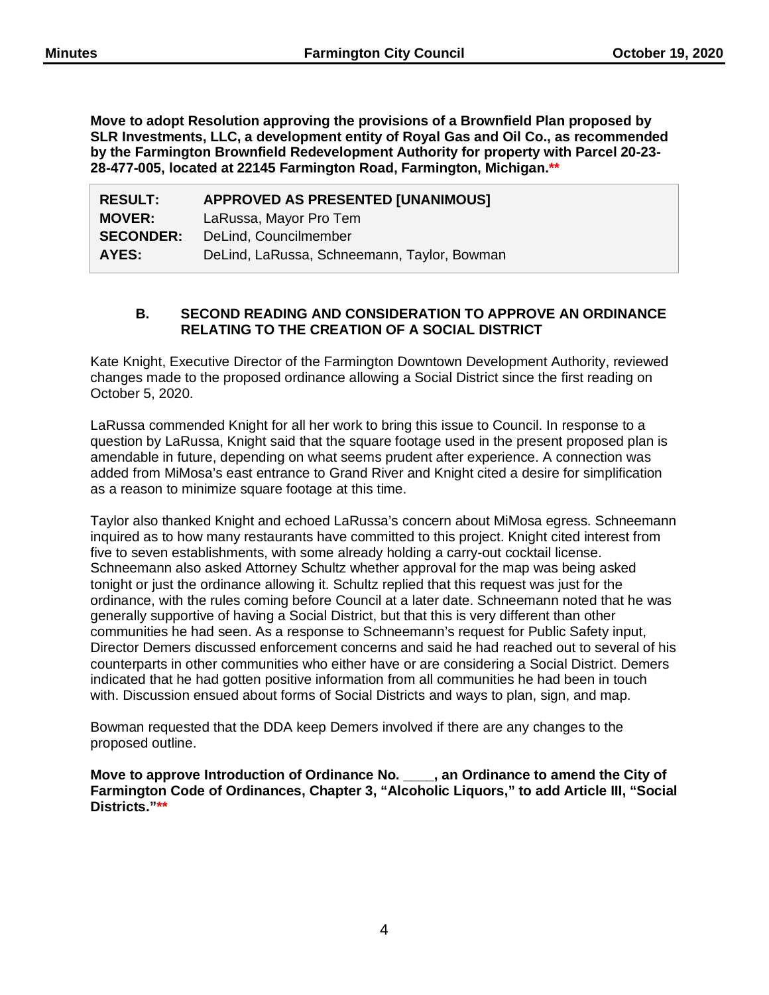**Move to adopt Resolution approving the provisions of a Brownfield Plan proposed by SLR Investments, LLC, a development entity of Royal Gas and Oil Co., as recommended by the Farmington Brownfield Redevelopment Authority for property with Parcel 20-23- 28-477-005, located at 22145 Farmington Road, Farmington, Michigan.\*\***

| <b>RESULT:</b>   | <b>APPROVED AS PRESENTED [UNANIMOUS]</b>    |
|------------------|---------------------------------------------|
| <b>MOVER:</b>    | LaRussa, Mayor Pro Tem                      |
| <b>SECONDER:</b> | DeLind, Councilmember                       |
| AYES:            | DeLind, LaRussa, Schneemann, Taylor, Bowman |

## **B. SECOND READING AND CONSIDERATION TO APPROVE AN ORDINANCE RELATING TO THE CREATION OF A SOCIAL DISTRICT**

Kate Knight, Executive Director of the Farmington Downtown Development Authority, reviewed changes made to the proposed ordinance allowing a Social District since the first reading on October 5, 2020.

LaRussa commended Knight for all her work to bring this issue to Council. In response to a question by LaRussa, Knight said that the square footage used in the present proposed plan is amendable in future, depending on what seems prudent after experience. A connection was added from MiMosa's east entrance to Grand River and Knight cited a desire for simplification as a reason to minimize square footage at this time.

Taylor also thanked Knight and echoed LaRussa's concern about MiMosa egress. Schneemann inquired as to how many restaurants have committed to this project. Knight cited interest from five to seven establishments, with some already holding a carry-out cocktail license. Schneemann also asked Attorney Schultz whether approval for the map was being asked tonight or just the ordinance allowing it. Schultz replied that this request was just for the ordinance, with the rules coming before Council at a later date. Schneemann noted that he was generally supportive of having a Social District, but that this is very different than other communities he had seen. As a response to Schneemann's request for Public Safety input, Director Demers discussed enforcement concerns and said he had reached out to several of his counterparts in other communities who either have or are considering a Social District. Demers indicated that he had gotten positive information from all communities he had been in touch with. Discussion ensued about forms of Social Districts and ways to plan, sign, and map.

Bowman requested that the DDA keep Demers involved if there are any changes to the proposed outline.

**Move to approve Introduction of Ordinance No. \_\_\_\_, an Ordinance to amend the City of Farmington Code of Ordinances, Chapter 3, "Alcoholic Liquors," to add Article III, "Social Districts."\*\***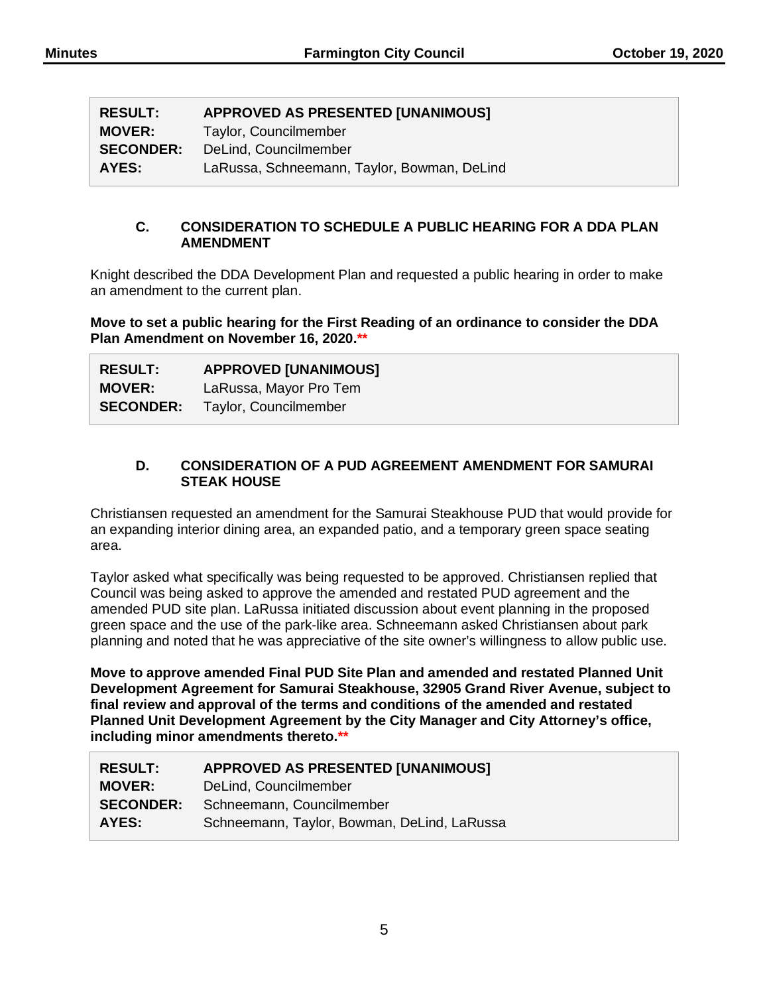| <b>RESULT:</b>   | <b>APPROVED AS PRESENTED [UNANIMOUS]</b>    |
|------------------|---------------------------------------------|
| <b>MOVER:</b>    | Taylor, Councilmember                       |
| <b>SECONDER:</b> | DeLind, Councilmember                       |
| AYES:            | LaRussa, Schneemann, Taylor, Bowman, DeLind |

## **C. CONSIDERATION TO SCHEDULE A PUBLIC HEARING FOR A DDA PLAN AMENDMENT**

Knight described the DDA Development Plan and requested a public hearing in order to make an amendment to the current plan.

**Move to set a public hearing for the First Reading of an ordinance to consider the DDA Plan Amendment on November 16, 2020.\*\***

| <b>RESULT:</b> | <b>APPROVED [UNANIMOUS]</b>            |
|----------------|----------------------------------------|
| <b>MOVER:</b>  | LaRussa, Mayor Pro Tem                 |
|                | <b>SECONDER:</b> Taylor, Councilmember |

#### **D. CONSIDERATION OF A PUD AGREEMENT AMENDMENT FOR SAMURAI STEAK HOUSE**

Christiansen requested an amendment for the Samurai Steakhouse PUD that would provide for an expanding interior dining area, an expanded patio, and a temporary green space seating area.

Taylor asked what specifically was being requested to be approved. Christiansen replied that Council was being asked to approve the amended and restated PUD agreement and the amended PUD site plan. LaRussa initiated discussion about event planning in the proposed green space and the use of the park-like area. Schneemann asked Christiansen about park planning and noted that he was appreciative of the site owner's willingness to allow public use.

**Move to approve amended Final PUD Site Plan and amended and restated Planned Unit Development Agreement for Samurai Steakhouse, 32905 Grand River Avenue, subject to final review and approval of the terms and conditions of the amended and restated Planned Unit Development Agreement by the City Manager and City Attorney's office, including minor amendments thereto.\*\***

| <b>RESULT:</b>   | <b>APPROVED AS PRESENTED [UNANIMOUS]</b>    |
|------------------|---------------------------------------------|
| <b>MOVER:</b>    | DeLind, Councilmember                       |
| <b>SECONDER:</b> | Schneemann, Councilmember                   |
| AYES:            | Schneemann, Taylor, Bowman, DeLind, LaRussa |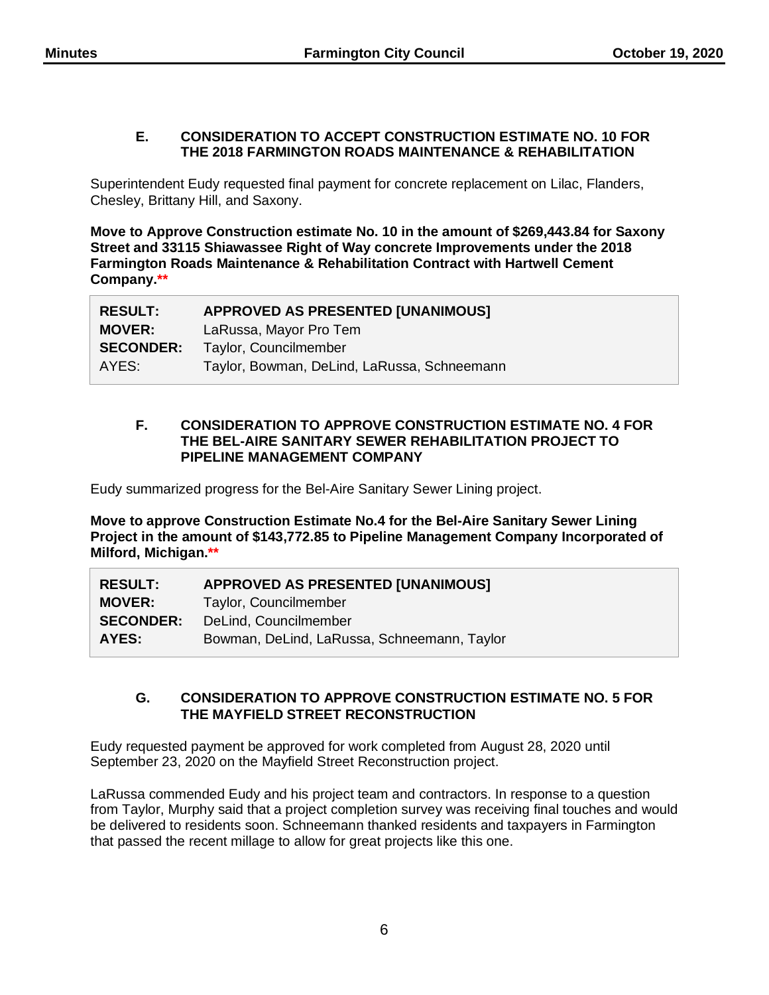#### **E. CONSIDERATION TO ACCEPT CONSTRUCTION ESTIMATE NO. 10 FOR THE 2018 FARMINGTON ROADS MAINTENANCE & REHABILITATION**

Superintendent Eudy requested final payment for concrete replacement on Lilac, Flanders, Chesley, Brittany Hill, and Saxony.

**Move to Approve Construction estimate No. 10 in the amount of \$269,443.84 for Saxony Street and 33115 Shiawassee Right of Way concrete Improvements under the 2018 Farmington Roads Maintenance & Rehabilitation Contract with Hartwell Cement Company.\*\***

| <b>RESULT:</b>   | <b>APPROVED AS PRESENTED [UNANIMOUS]</b>    |
|------------------|---------------------------------------------|
| <b>MOVER:</b>    | LaRussa, Mayor Pro Tem                      |
| <b>SECONDER:</b> | Taylor, Councilmember                       |
| AYES:            | Taylor, Bowman, DeLind, LaRussa, Schneemann |

#### **F. CONSIDERATION TO APPROVE CONSTRUCTION ESTIMATE NO. 4 FOR THE BEL-AIRE SANITARY SEWER REHABILITATION PROJECT TO PIPELINE MANAGEMENT COMPANY**

Eudy summarized progress for the Bel-Aire Sanitary Sewer Lining project.

**Move to approve Construction Estimate No.4 for the Bel-Aire Sanitary Sewer Lining Project in the amount of \$143,772.85 to Pipeline Management Company Incorporated of Milford, Michigan.\*\***

| <b>RESULT:</b>   | <b>APPROVED AS PRESENTED [UNANIMOUS]</b>    |
|------------------|---------------------------------------------|
| <b>MOVER:</b>    | Taylor, Councilmember                       |
| <b>SECONDER:</b> | DeLind, Councilmember                       |
| AYES:            | Bowman, DeLind, LaRussa, Schneemann, Taylor |

## **G. CONSIDERATION TO APPROVE CONSTRUCTION ESTIMATE NO. 5 FOR THE MAYFIELD STREET RECONSTRUCTION**

Eudy requested payment be approved for work completed from August 28, 2020 until September 23, 2020 on the Mayfield Street Reconstruction project.

LaRussa commended Eudy and his project team and contractors. In response to a question from Taylor, Murphy said that a project completion survey was receiving final touches and would be delivered to residents soon. Schneemann thanked residents and taxpayers in Farmington that passed the recent millage to allow for great projects like this one.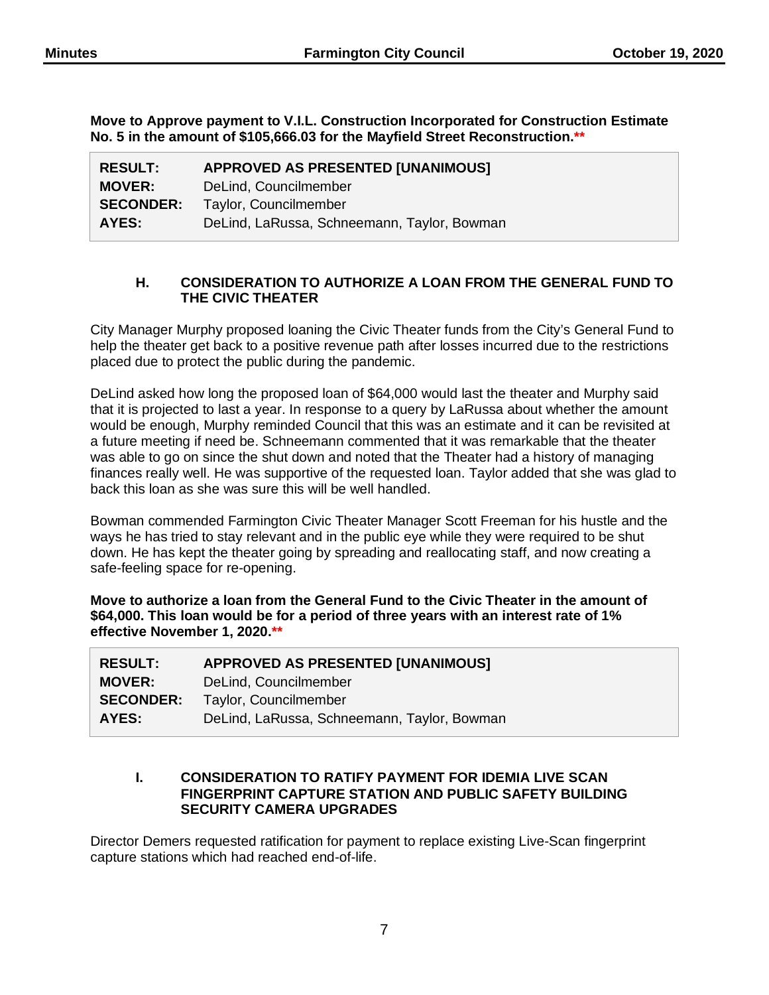**Move to Approve payment to V.I.L. Construction Incorporated for Construction Estimate No. 5 in the amount of \$105,666.03 for the Mayfield Street Reconstruction.\*\***

| <b>RESULT:</b>   | <b>APPROVED AS PRESENTED [UNANIMOUS]</b>    |
|------------------|---------------------------------------------|
| <b>MOVER:</b>    | DeLind, Councilmember                       |
| <b>SECONDER:</b> | Taylor, Councilmember                       |
| AYES:            | DeLind, LaRussa, Schneemann, Taylor, Bowman |

## **H. CONSIDERATION TO AUTHORIZE A LOAN FROM THE GENERAL FUND TO THE CIVIC THEATER**

City Manager Murphy proposed loaning the Civic Theater funds from the City's General Fund to help the theater get back to a positive revenue path after losses incurred due to the restrictions placed due to protect the public during the pandemic.

DeLind asked how long the proposed loan of \$64,000 would last the theater and Murphy said that it is projected to last a year. In response to a query by LaRussa about whether the amount would be enough, Murphy reminded Council that this was an estimate and it can be revisited at a future meeting if need be. Schneemann commented that it was remarkable that the theater was able to go on since the shut down and noted that the Theater had a history of managing finances really well. He was supportive of the requested loan. Taylor added that she was glad to back this loan as she was sure this will be well handled.

Bowman commended Farmington Civic Theater Manager Scott Freeman for his hustle and the ways he has tried to stay relevant and in the public eye while they were required to be shut down. He has kept the theater going by spreading and reallocating staff, and now creating a safe-feeling space for re-opening.

**Move to authorize a loan from the General Fund to the Civic Theater in the amount of \$64,000. This loan would be for a period of three years with an interest rate of 1% effective November 1, 2020.\*\***

| <b>RESULT:</b>   | <b>APPROVED AS PRESENTED [UNANIMOUS]</b>    |
|------------------|---------------------------------------------|
| <b>MOVER:</b>    | DeLind, Councilmember                       |
| <b>SECONDER:</b> | Taylor, Councilmember                       |
| AYES:            | DeLind, LaRussa, Schneemann, Taylor, Bowman |

#### **I. CONSIDERATION TO RATIFY PAYMENT FOR IDEMIA LIVE SCAN FINGERPRINT CAPTURE STATION AND PUBLIC SAFETY BUILDING SECURITY CAMERA UPGRADES**

Director Demers requested ratification for payment to replace existing Live-Scan fingerprint capture stations which had reached end-of-life.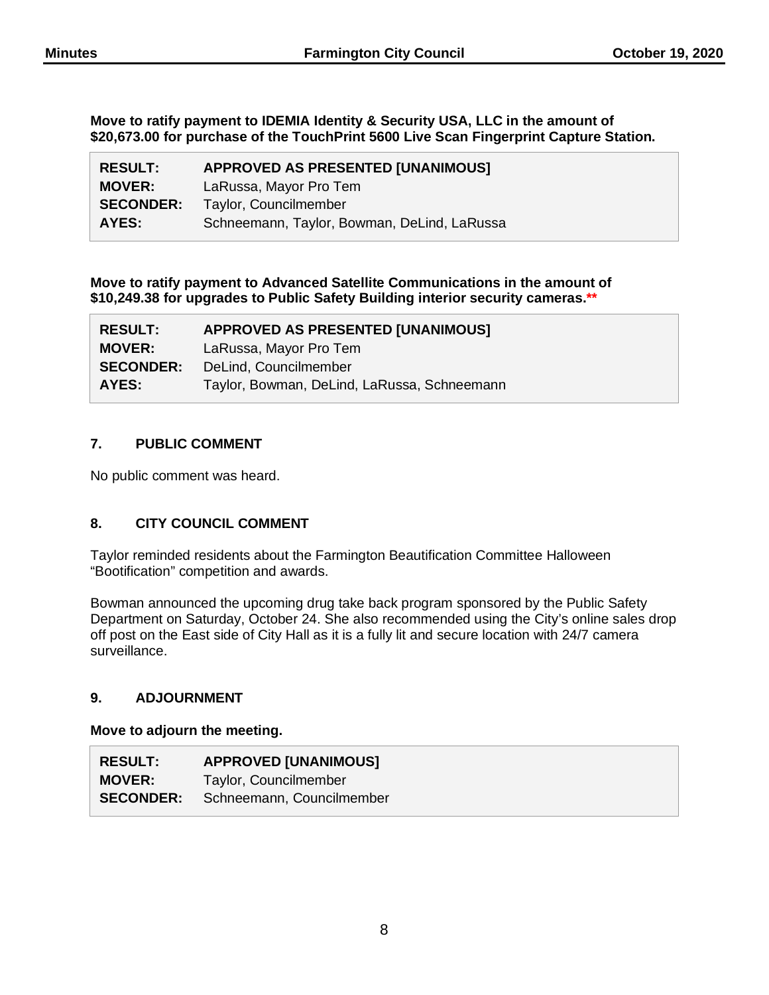**Move to ratify payment to IDEMIA Identity & Security USA, LLC in the amount of \$20,673.00 for purchase of the TouchPrint 5600 Live Scan Fingerprint Capture Station.**

| <b>RESULT:</b>   | <b>APPROVED AS PRESENTED [UNANIMOUS]</b>    |
|------------------|---------------------------------------------|
| <b>MOVER:</b>    | LaRussa, Mayor Pro Tem                      |
| <b>SECONDER:</b> | Taylor, Councilmember                       |
| AYES:            | Schneemann, Taylor, Bowman, DeLind, LaRussa |

**Move to ratify payment to Advanced Satellite Communications in the amount of \$10,249.38 for upgrades to Public Safety Building interior security cameras.\*\***

| <b>RESULT:</b>   | <b>APPROVED AS PRESENTED [UNANIMOUS]</b>    |
|------------------|---------------------------------------------|
| <b>MOVER:</b>    | LaRussa, Mayor Pro Tem                      |
| <b>SECONDER:</b> | DeLind, Councilmember                       |
| AYES:            | Taylor, Bowman, DeLind, LaRussa, Schneemann |

## **7. PUBLIC COMMENT**

No public comment was heard.

## **8. CITY COUNCIL COMMENT**

Taylor reminded residents about the Farmington Beautification Committee Halloween "Bootification" competition and awards.

Bowman announced the upcoming drug take back program sponsored by the Public Safety Department on Saturday, October 24. She also recommended using the City's online sales drop off post on the East side of City Hall as it is a fully lit and secure location with 24/7 camera surveillance.

## **9. ADJOURNMENT**

#### **Move to adjourn the meeting.**

| <b>RESULT:</b>   | <b>APPROVED [UNANIMOUS]</b> |
|------------------|-----------------------------|
| <b>MOVER:</b>    | Taylor, Councilmember       |
| <b>SECONDER:</b> | Schneemann, Councilmember   |